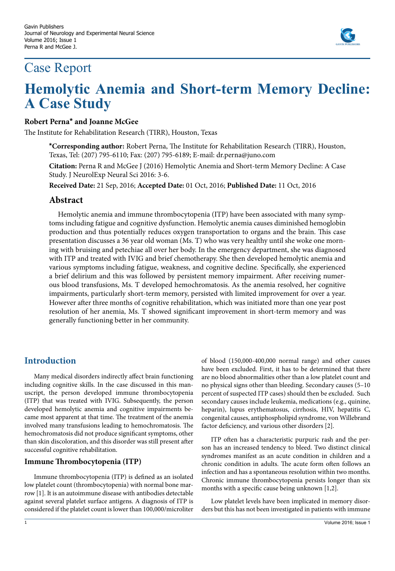# Case Report



# **Hemolytic Anemia and Short-term Memory Decline: A Case Study**

#### **Robert Perna\* and Joanne McGee**

The Institute for Rehabilitation Research (TIRR), Houston, Texas

**\*Corresponding author:** Robert Perna, The Institute for Rehabilitation Research (TIRR), Houston, Texas, Tel: (207) 795-6110; Fax: (207) 795-6189; E-mail: dr.perna@juno.com

**Citation:** Perna R and McGee J (2016) Hemolytic Anemia and Short-term Memory Decline: A Case Study. J NeurolExp Neural Sci 2016: 3-6.

**Received Date:** 21 Sep, 2016; **Accepted Date:** 01 Oct, 2016; **Published Date:** 11 Oct, 2016

### **Abstract**

Hemolytic anemia and immune thrombocytopenia (ITP) have been associated with many symptoms including fatigue and cognitive dysfunction. Hemolytic anemia causes diminished hemoglobin production and thus potentially reduces oxygen transportation to organs and the brain. This case presentation discusses a 36 year old woman (Ms. T) who was very healthy until she woke one morning with bruising and petechiae all over her body. In the emergency department, she was diagnosed with ITP and treated with IVIG and brief chemotherapy. She then developed hemolytic anemia and various symptoms including fatigue, weakness, and cognitive decline. Specifically, she experienced a brief delirium and this was followed by persistent memory impairment. After receiving numerous blood transfusions, Ms. T developed hemochromatosis. As the anemia resolved, her cognitive impairments, particularly short-term memory, persisted with limited improvement for over a year. However after three months of cognitive rehabilitation, which was initiated more than one year post resolution of her anemia, Ms. T showed significant improvement in short-term memory and was generally functioning better in her community.

# **Introduction**

Many medical disorders indirectly affect brain functioning including cognitive skills. In the case discussed in this manuscript, the person developed immune thrombocytopenia (ITP) that was treated with IVIG. Subsequently, the person developed hemolytic anemia and cognitive impairments became most apparent at that time. The treatment of the anemia involved many transfusions leading to hemochromatosis. The hemochromatosis did not produce significant symptoms, other than skin discoloration, and this disorder was still present after successful cognitive rehabilitation.

#### **Immune Thrombocytopenia (ITP)**

Immune thrombocytopenia (ITP) is defined as an isolated low platelet count (thrombocytopenia) with normal bone marrow [1]. It is an autoimmune disease with antibodies detectable against several platelet surface antigens. A diagnosis of ITP is considered if the platelet count is lower than 100,000/microliter of blood (150,000-400,000 normal range) and other causes have been excluded. First, it has to be determined that there are no blood abnormalities other than a low platelet count and no physical signs other than bleeding. Secondary causes (5–10 percent of suspected ITP cases) should then be excluded. Such secondary causes include [leukemia,](https://en.wikipedia.org/wiki/Leukemia) medications (e.g., [quinine](https://en.wikipedia.org/wiki/Quinine), [heparin\)](https://en.wikipedia.org/wiki/Heparin), [lupus erythematosus](https://en.wikipedia.org/wiki/Lupus_erythematosus), [cirrhosis](https://en.wikipedia.org/wiki/Cirrhosis), [HIV](https://en.wikipedia.org/wiki/HIV), [hepatitis](https://en.wikipedia.org/wiki/Hepatitis) C, congenital causes, [antiphospholipid syndrome,](https://en.wikipedia.org/wiki/Antiphospholipid_syndrome) [von Willebrand](https://en.wikipedia.org/wiki/Von_Willebrand_factor)  [factor](https://en.wikipedia.org/wiki/Von_Willebrand_factor) deficiency, and various other disorders [2].

ITP often has a characteristic purpuric rash and the person has an increased tendency to bleed. Two distinct clinical syndromes manifest as an acute condition in children and a chronic condition in adults. The acute form often follows an infection and has a spontaneous resolution within two months. Chronic immune thrombocytopenia persists longer than six months with a specific cause being unknown [1,2].

Low platelet levels have been implicated in memory disorders but this has not been investigated in patients with immune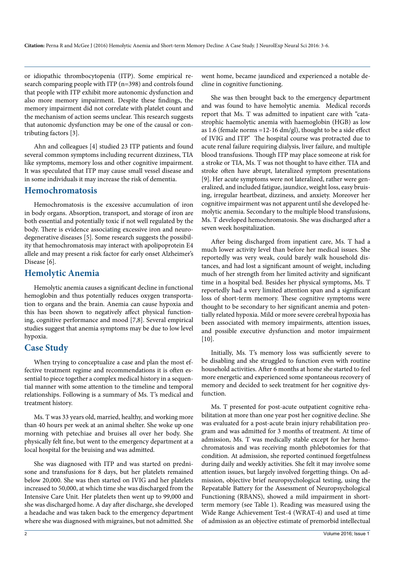or idiopathic thrombocytopenia (ITP). Some empirical research comparing people with ITP (n=398) and controls found that people with ITP exhibit more autonomic dysfunction and also more memory impairment. Despite these findings, the memory impairment did not correlate with platelet count and the mechanism of action seems unclear. This research suggests that autonomic dysfunction may be one of the causal or contributing factors [3].

Ahn and colleagues [4] studied 23 ITP patients and found several common symptoms including recurrent dizziness, TIA like symptoms, memory loss and other cognitive impairment. It was speculated that ITP may cause small vessel disease and in some individuals it may increase the risk of dementia.

#### **Hemochromatosis**

Hemochromatosis is the excessive accumulation of iron in body organs. Absorption, transport, and storage of iron are both essential and potentially toxic if not well regulated by the body. There is evidence associating excessive iron and neurodegenerative diseases [5]. Some research suggests the possibility that hemochromatosis may interact with apolipoprotein E4 allele and may present a risk factor for early onset Alzheimer's Disease [6].

#### **Hemolytic Anemia**

Hemolytic anemia causes a significant decline in functional hemoglobin and thus potentially reduces oxygen transportation to organs and the brain. Anemia can cause hypoxia and this has been shown to negatively affect physical functioning, cognitive performance and mood [7,8]. Several empirical studies suggest that anemia symptoms may be due to low level hypoxia.

# **Case Study**

When trying to conceptualize a case and plan the most effective treatment regime and recommendations it is often essential to piece together a complex medical history in a sequential manner with some attention to the timeline and temporal relationships. Following is a summary of Ms. T's medical and treatment history.

Ms. T was 33 years old, married, healthy, and working more than 40 hours per week at an animal shelter. She woke up one morning with petechiae and bruises all over her body. She physically felt fine, but went to the emergency department at a local hospital for the bruising and was admitted.

She was diagnosed with ITP and was started on prednisone and transfusions for 8 days, but her platelets remained below 20,000. She was then started on IVIG and her platelets increased to 50,000, at which time she was discharged from the Intensive Care Unit. Her platelets then went up to 99,000 and she was discharged home. A day after discharge, she developed a headache and was taken back to the emergency department where she was diagnosed with migraines, but not admitted. She

went home, became jaundiced and experienced a notable decline in cognitive functioning.

She was then brought back to the emergency department and was found to have hemolytic anemia. Medical records report that Ms. T was admitted to inpatient care with "catastrophic haemolytic anemia with haemoglobin (HGB) as low as 1.6 (female norms =12-16 dm/gl), thought to be a side effect of IVIG and ITP." The hospital course was protracted due to acute renal failure requiring dialysis, liver failure, and multiple blood transfusions. Though ITP may place someone at risk for a stroke or TIA, Ms. T was not thought to have either. TIA and stroke often have abrupt, lateralized symptom presentations [9]. Her acute symptoms were not lateralized, rather were generalized, and included fatigue, jaundice, weight loss, easy bruising, irregular heartbeat, dizziness, and anxiety. Moreover her cognitive impairment was not apparent until she developed hemolytic anemia. Secondary to the multiple blood transfusions, Ms. T developed hemochromatosis. She was discharged after a seven week hospitalization.

After being discharged from inpatient care, Ms. T had a much lower activity level than before her medical issues. She reportedly was very weak, could barely walk household distances, and had lost a significant amount of weight, including much of her strength from her limited activity and significant time in a hospital bed. Besides her physical symptoms, Ms. T reportedly had a very limited attention span and a significant loss of short-term memory. These cognitive symptoms were thought to be secondary to her significant anemia and potentially related hypoxia. Mild or more severe cerebral hypoxia has been associated with memory impairments, attention issues, and possible executive dysfunction and motor impairment [10].

Initially, Ms. T's memory loss was sufficiently severe to be disabling and she struggled to function even with routine household activities. After 6 months at home she started to feel more energetic and experienced some spontaneous recovery of memory and decided to seek treatment for her cognitive dysfunction.

Ms. T presented for post-acute outpatient cognitive rehabilitation at more than one year post her cognitive decline. She was evaluated for a post-acute brain injury rehabilitation program and was admitted for 3 months of treatment. At time of admission, Ms. T was medically stable except for her hemochromatosis and was receiving month phlebotomies for that condition. At admission, she reported continued forgetfulness during daily and weekly activities. She felt it may involve some attention issues, but largely involved forgetting things. On admission, objective brief neuropsychological testing, using the Repeatable Battery for the Assessment of Neuropsychological Functioning (RBANS), showed a mild impairment in shortterm memory (see Table 1). Reading was measured using the Wide Range Achievement Test-4 (WRAT-4) and used at time of admission as an objective estimate of premorbid intellectual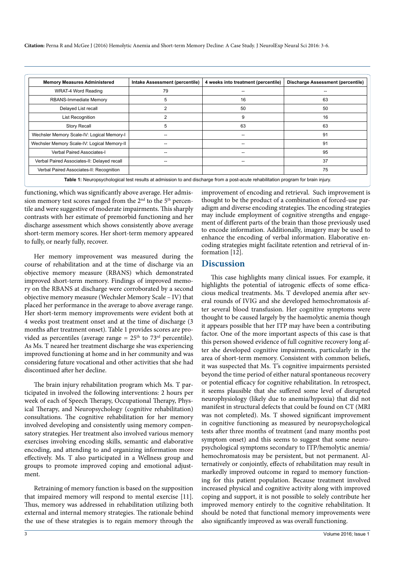**Citation:** Perna R and McGee J (2016) Hemolytic Anemia and Short-term Memory Decline: A Case Study. J NeurolExp Neural Sci 2016: 3-6.

| <b>Memory Measures Administered</b>         | Intake Assessment (percentile) | 4 weeks into treatment (percentile) | <b>Discharge Assessment (percentile)</b> |
|---------------------------------------------|--------------------------------|-------------------------------------|------------------------------------------|
| WRAT-4 Word Reading                         | 79                             |                                     |                                          |
| RBANS-Immediate Memory                      | 5                              | 16                                  | 63                                       |
| Delayed List recall                         | 2                              | 50                                  | 50                                       |
| <b>List Recognition</b>                     | 2                              | 9                                   | 16                                       |
| <b>Story Recall</b>                         | 5                              | 63                                  | 63                                       |
| Wechsler Memory Scale-IV: Logical Memory-I  |                                |                                     | 91                                       |
| Wechsler Memory Scale-IV: Logical Memory-II |                                |                                     | 91                                       |
| Verbal Paired Associates-I                  |                                |                                     | 95                                       |
| Verbal Paired Associates-II: Delayed recall |                                |                                     | 37                                       |
| Verbal Paired Associates-II: Recognition    |                                |                                     | 75                                       |

**Table 1:** Neuropsychological test results at admission to and discharge from a post-acute rehabilitation program for brain injury.

functioning, which was significantly above average. Her admission memory test scores ranged from the  $2<sup>nd</sup>$  to the  $5<sup>th</sup>$  percentile and were suggestive of moderate impairments. This sharply contrasts with her estimate of premorbid functioning and her discharge assessment which shows consistently above average short-term memory scores. Her short-term memory appeared to fully, or nearly fully, recover.

Her memory improvement was measured during the course of rehabilitation and at the time of discharge via an objective memory measure (RBANS) which demonstrated improved short-term memory. Findings of improved memory on the RBANS at discharge were corroborated by a second objective memory measure (Wechsler Memory Scale – IV) that placed her performance in the average to above average range. Her short-term memory improvements were evident both at 4 weeks post treatment onset and at the time of discharge (3 months after treatment onset). Table 1 provides scores are provided as percentiles (average range =  $25<sup>th</sup>$  to  $73<sup>rd</sup>$  percentile). As Ms. T neared her treatment discharge she was experiencing improved functioning at home and in her community and was considering future vocational and other activities that she had discontinued after her decline.

The brain injury rehabilitation program which Ms. T participated in involved the following interventions: 2 hours per week of each of Speech Therapy, Occupational Therapy, Physical Therapy, and Neuropsychology (cognitive rehabilitation) consultations. The cognitive rehabilitation for her memory involved developing and consistently using memory compensatory strategies. Her treatment also involved various memory exercises involving encoding skills, semantic and elaborative encoding, and attending to and organizing information more effectively. Ms. T also participated in a Wellness group and groups to promote improved coping and emotional adjustment.

Retraining of memory function is based on the supposition that impaired memory will respond to mental exercise [11]. Thus, memory was addressed in rehabilitation utilizing both external and internal memory strategies. The rationale behind the use of these strategies is to regain memory through the improvement of encoding and retrieval. Such improvement is thought to be the product of a combination of forced-use paradigm and diverse encoding strategies. The encoding strategies may include employment of cognitive strengths and engagement of different parts of the brain than those previously used to encode information. Additionally, imagery may be used to enhance the encoding of verbal information. Elaborative encoding strategies might facilitate retention and retrieval of information [12].

#### **Discussion**

This case highlights many clinical issues. For example, it highlights the potential of iatrogenic effects of some efficacious medical treatments. Ms. T developed anemia after several rounds of IVIG and she developed hemochromatosis after several blood transfusion. Her cognitive symptoms were thought to be caused largely by the haemolytic anemia though it appears possible that her ITP may have been a contributing factor. One of the more important aspects of this case is that this person showed evidence of full cognitive recovery long after she developed cognitive impairments, particularly in the area of short-term memory. Consistent with common beliefs, it was suspected that Ms. T's cognitive impairments persisted beyond the time period of either natural spontaneous recovery or potential efficacy for cognitive rehabilitation. In retrospect, it seems plausible that she suffered some level of disrupted neurophysiology (likely due to anemia/hypoxia) that did not manifest in structural defects that could be found on CT (MRI was not completed). Ms. T showed significant improvement in cognitive functioning as measured by neuropsychological tests after three months of treatment (and many months post symptom onset) and this seems to suggest that some neuropsychological symptoms secondary to ITP/hemolytic anemia/ hemochromatosis may be persistent, but not permanent. Alternatively or conjointly, effects of rehabilitation may result in markedly improved outcome in regard to memory functioning for this patient population. Because treatment involved increased physical and cognitive activity along with improved coping and support, it is not possible to solely contribute her improved memory entirely to the cognitive rehabilitation. It should be noted that functional memory improvements were also significantly improved as was overall functioning.